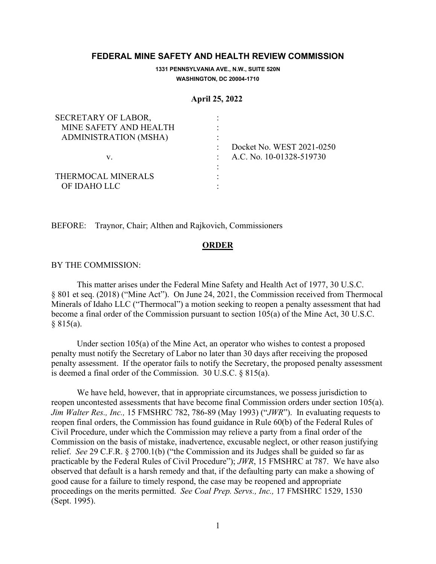# **FEDERAL MINE SAFETY AND HEALTH REVIEW COMMISSION**

**1331 PENNSYLVANIA AVE., N.W., SUITE 520N WASHINGTON, DC 20004-1710**

#### **April 25, 2022**

| SECRETARY OF LABOR,    |                           |
|------------------------|---------------------------|
| MINE SAFETY AND HEALTH |                           |
| ADMINISTRATION (MSHA)  |                           |
|                        | Docket No. WEST 2021-0250 |
| v.                     | A.C. No. 10-01328-519730  |
|                        |                           |
| THERMOCAL MINERALS     |                           |
| OF IDAHO LLC           |                           |

BEFORE: Traynor, Chair; Althen and Rajkovich, Commissioners

## **ORDER**

#### BY THE COMMISSION:

This matter arises under the Federal Mine Safety and Health Act of 1977, 30 U.S.C. § 801 et seq. (2018) ("Mine Act"). On June 24, 2021, the Commission received from Thermocal Minerals of Idaho LLC ("Thermocal") a motion seeking to reopen a penalty assessment that had become a final order of the Commission pursuant to section 105(a) of the Mine Act, 30 U.S.C.  $§ 815(a).$ 

Under section 105(a) of the Mine Act, an operator who wishes to contest a proposed penalty must notify the Secretary of Labor no later than 30 days after receiving the proposed penalty assessment. If the operator fails to notify the Secretary, the proposed penalty assessment is deemed a final order of the Commission. 30 U.S.C. § 815(a).

We have held, however, that in appropriate circumstances, we possess jurisdiction to reopen uncontested assessments that have become final Commission orders under section 105(a). *Jim Walter Res., Inc.,* 15 FMSHRC 782, 786-89 (May 1993) ("*JWR*"). In evaluating requests to reopen final orders, the Commission has found guidance in Rule 60(b) of the Federal Rules of Civil Procedure, under which the Commission may relieve a party from a final order of the Commission on the basis of mistake, inadvertence, excusable neglect, or other reason justifying relief. *See* 29 C.F.R. § 2700.1(b) ("the Commission and its Judges shall be guided so far as practicable by the Federal Rules of Civil Procedure"); *JWR*, 15 FMSHRC at 787. We have also observed that default is a harsh remedy and that, if the defaulting party can make a showing of good cause for a failure to timely respond, the case may be reopened and appropriate proceedings on the merits permitted. *See Coal Prep. Servs., Inc.,* 17 FMSHRC 1529, 1530 (Sept. 1995).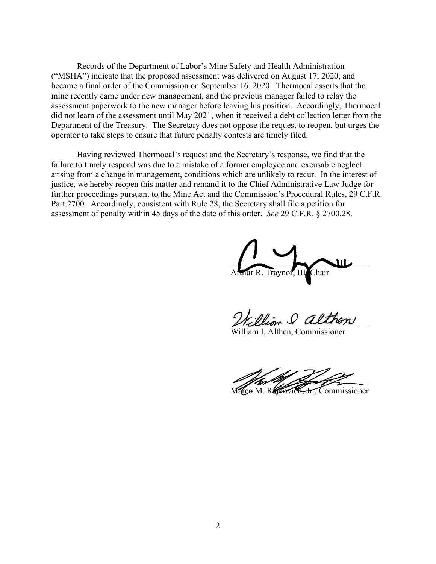Records of the Department of Labor's Mine Safety and Health Administration ("MSHA") indicate that the proposed assessment was delivered on August 17, 2020, and became a final order of the Commission on September 16, 2020. Thermocal asserts that the mine recently came under new management, and the previous manager failed to relay the assessment paperwork to the new manager before leaving his position. Accordingly, Thermocal did not learn of the assessment until May 2021, when it received a debt collection letter from the Department of the Treasury. The Secretary does not oppose the request to reopen, but urges the operator to take steps to ensure that future penalty contests are timely filed.

Having reviewed Thermocal's request and the Secretary's response, we find that the failure to timely respond was due to a mistake of a former employee and excusable neglect arising from a change in management, conditions which are unlikely to recur. In the interest of justice, we hereby reopen this matter and remand it to the Chief Administrative Law Judge for further proceedings pursuant to the Mine Act and the Commission's Procedural Rules, 29 C.F.R. Part 2700. Accordingly, consistent with Rule 28, the Secretary shall file a petition for assessment of penalty within 45 days of the date of this order. *See* 29 C.F.R. § 2700.28.

 $\overline{\phantom{a}}$ mur R. Traynor, II

William & althen

liam I. Althen, Commissioner

 $\mathscr{L}/\mathscr{M}/\mathscr{N}/\mathscr{D}$ Marco M. Rajkovich, Jr., Commissioner